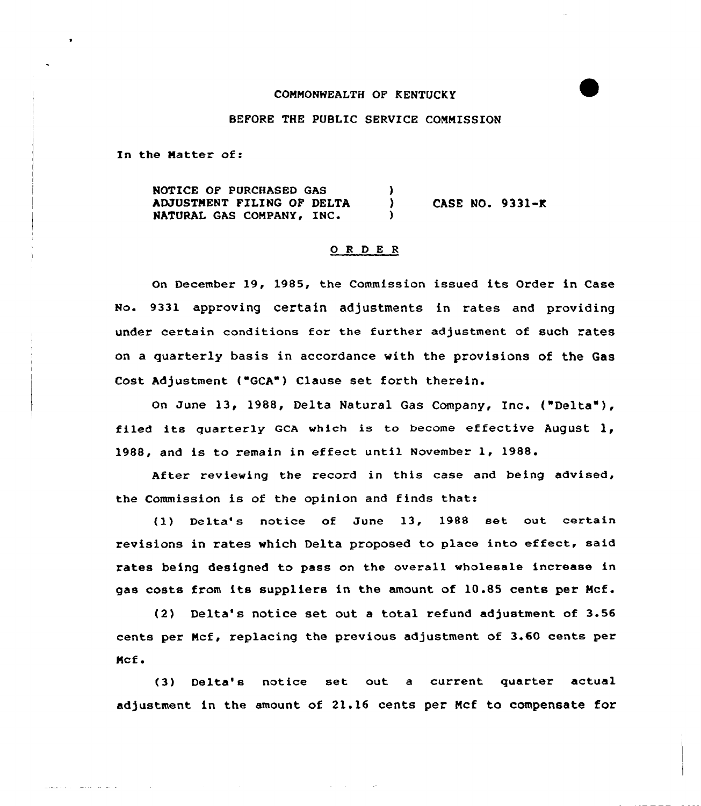### COMMONWEALTH OF KENTUCKY

## BEFORE THE PUBLIC SERVICE COMMISSION

In the Matter of:

NOTICE OF PURCHASED GAS AMUSTMENT FILING OF DELTA NATURAL GAS COMPANY, IN'ASE NO. 9331-K

## 0 <sup>R</sup> <sup>D</sup> E <sup>R</sup>

On December 19, 1985, the Commission issued its Order in Case No. 9331 approving certain adjustments in rates and providing under certain conditions for the further adjustment of such rates on a quarterly basis in accordance with the provisions of the Gas Cost Adjustment ("GCA") Clause set forth therein.

On June 13, 1988, Delta Natural Gas Company, Inc. ("Delta" ), filed its quarterly GCA which is to become effective August  $l$ , 1988, and is to remain in effect until November 1, 1988.

After reviewing the record in this case and being advised, the Commission is of the opinion and finds that:

(l} Delta's notice of June 13, 1988 set out certain revisions in rates which Delta proposed to place into effect, said rates being designed to pass on the overall wholesale increase in gas costs from its suppliers in the amount of 10.85 cents per Mcf.

(2) Delta's notice set out a total refund adjustment of 3.56 cents per Mcf, replacing the previous adjustment of 3.60 cents per Mcf.

(3) Delta's notice set out a current quarter actual adjustment in the amount of 21.16 cents per Mcf to compensate for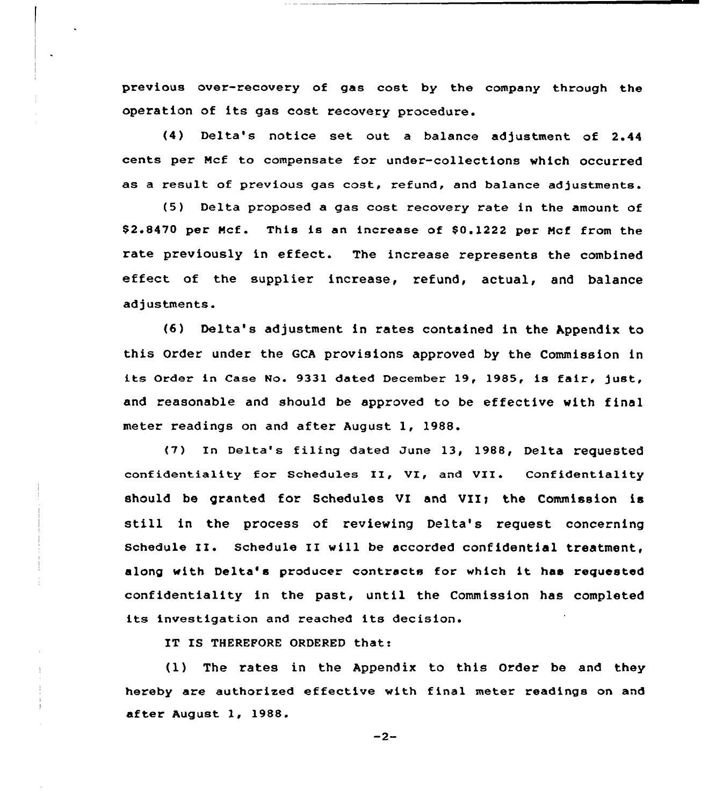previous over-recovery of gas cost by the company through the operation of its gas cost recovery procedure.

(4) Delta's notice set out a balance adjustment of 2.44 cents per Mcf to compensate for under-collections which occurred as a result of previous gas cost, refund, and balance adjustments.

(5) Delta proposed a gas cost recovery rate in the amount of \$2.8470 per Mcf. This is an increase of \$0.1222 per Mcf from the rate previously in effect. The increase represents the combined effect of the supplier increase, refund, actual, and balance adjustments.

 $(6)$  Delta's adjustment in rates contained in the Appendix to this Order under the GCA provisions approved by the Commission in its Order in Case No. 9331 dated December 19, 1985, is fair, just, and reasonable and should be approved to be effective with final meter readings on and after August l, 1988.

(7) In Delta's filing dated June 13, 1988, Delta requested confidentiality for Schedules II, VI, and VII. Confidentiality should be granted for Schedules VI and VII; the Commission is still in the process of reviewing Delta's request concerning schedule II. schedule II will be accorded confidential treatment, along with Delta's producer contracts for which it has requested confidentiality in the past, until the Commission has completed its investigation and reached its decision.

IT IS THEREFORE ORDERED that:

(l) The rates in the Appendix to this Order be and they hereby are authorised effective with final meter readings on and after August 1, 1988.

$$
-2-
$$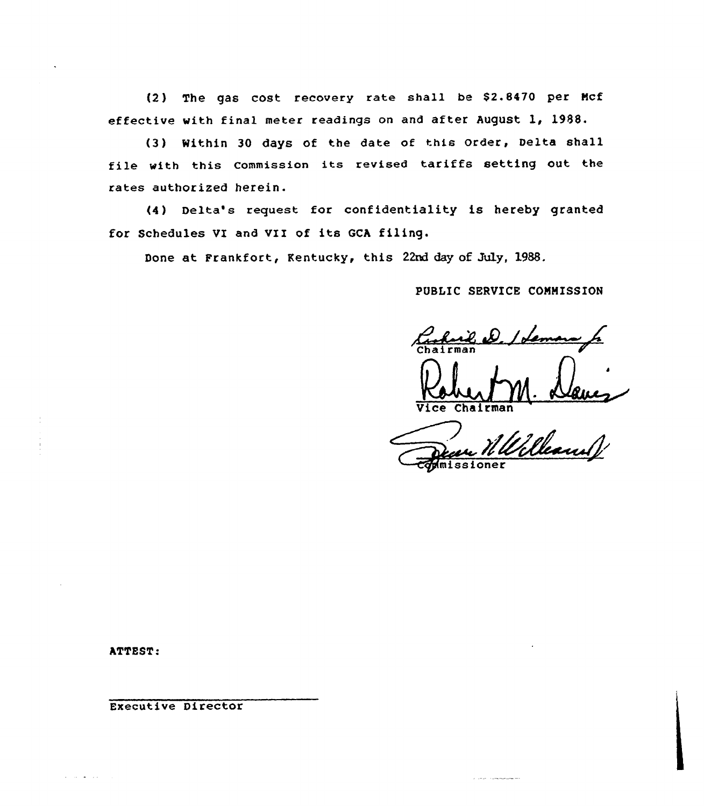(2) The gas cost recovery rate shall be \$2.8470 per Mcf effective with final meter readings on and after August 1, 1988.

(3) Within 30 days of the date of this Order, Delta shall file with this commission its revised tariffs setting out the rates authorized herein.

(4 ) Delta's request for confidentiality is hereby granted for Schedules VI and VII of its GCA filing.

Done at Frankfort, Kentucky, this 22nd day of July, 1988.

PVBLIC SERVICE CONHISSION

Vice Chairman<br>Deau Willelleauwy

ATTEST:

Executive Director